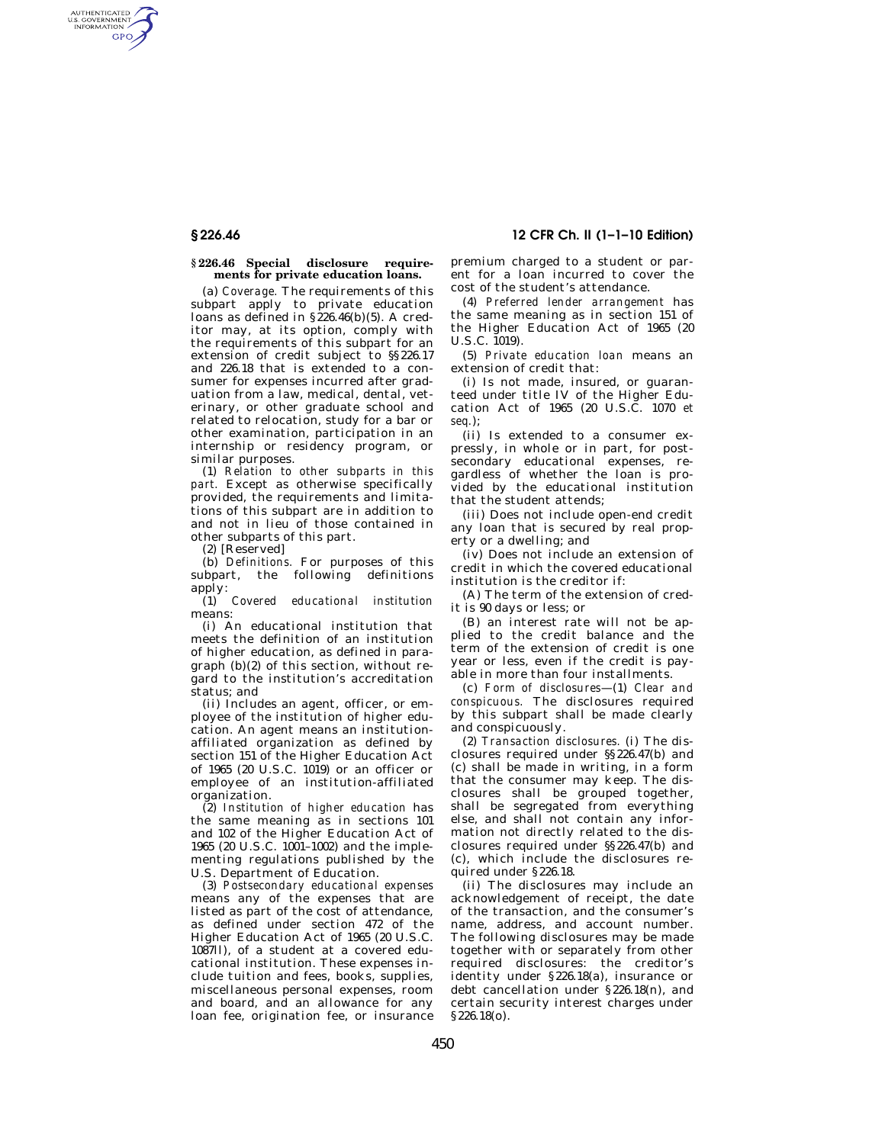# **§ 226.46 12 CFR Ch. II (1–1–10 Edition)**

#### **§ 226.46 Special disclosure requirements for private education loans.**

(a) *Coverage.* The requirements of this subpart apply to private education loans as defined in  $\S$ 226.46(b)(5). A creditor may, at its option, comply with the requirements of this subpart for an extension of credit subject to §§226.17 and 226.18 that is extended to a consumer for expenses incurred after graduation from a law, medical, dental, veterinary, or other graduate school and related to relocation, study for a bar or other examination, participation in an internship or residency program, or similar purposes.

(1) *Relation to other subparts in this part.* Except as otherwise specifically provided, the requirements and limitations of this subpart are in addition to and not in lieu of those contained in other subparts of this part.

(2) [Reserved]

AUTHENTICATED<br>U.S. GOVERNMENT<br>INFORMATION GPO

> (b) *Definitions.* For purposes of this subpart, the following definitions apply:

> (1) *Covered educational institution*  means:

> (i) An educational institution that meets the definition of an institution of higher education, as defined in paragraph (b)(2) of this section, without regard to the institution's accreditation status; and

> (ii) Includes an agent, officer, or employee of the institution of higher education. An agent means an institutionaffiliated organization as defined by section 151 of the Higher Education Act of 1965 (20 U.S.C. 1019) or an officer or employee of an institution-affiliated organization.

> (2) *Institution of higher education* has the same meaning as in sections 101 and 102 of the Higher Education Act of 1965 (20 U.S.C. 1001–1002) and the implementing regulations published by the U.S. Department of Education.

> (3) *Postsecondary educational expenses*  means any of the expenses that are listed as part of the cost of attendance, as defined under section 472 of the Higher Education Act of 1965 (20 U.S.C. 1087ll), of a student at a covered educational institution. These expenses include tuition and fees, books, supplies, miscellaneous personal expenses, room and board, and an allowance for any loan fee, origination fee, or insurance

premium charged to a student or parent for a loan incurred to cover the cost of the student's attendance.

(4) *Preferred lender arrangement* has the same meaning as in section 151 of the Higher Education Act of 1965 (20 U.S.C. 1019).

(5) *Private education loan* means an extension of credit that:

(i) Is not made, insured, or guaranteed under title IV of the Higher Education Act of 1965 (20 U.S.C. 1070 *et seq.*);

(ii) Is extended to a consumer expressly, in whole or in part, for postsecondary educational expenses, regardless of whether the loan is provided by the educational institution that the student attends;

(iii) Does not include open-end credit any loan that is secured by real property or a dwelling; and

(iv) Does not include an extension of credit in which the covered educational institution is the creditor if:

(A) The term of the extension of credit is 90 days or less; or

(B) an interest rate will not be applied to the credit balance and the term of the extension of credit is one year or less, even if the credit is payable in more than four installments.

(c) *Form of disclosures*—(1) *Clear and conspicuous.* The disclosures required by this subpart shall be made clearly and conspicuously.

(2) *Transaction disclosures.* (i) The disclosures required under §§226.47(b) and (c) shall be made in writing, in a form that the consumer may keep. The disclosures shall be grouped together, shall be segregated from everything else, and shall not contain any information not directly related to the disclosures required under §§226.47(b) and (c), which include the disclosures required under §226.18.

(ii) The disclosures may include an acknowledgement of receipt, the date of the transaction, and the consumer's name, address, and account number. The following disclosures may be made together with or separately from other required disclosures: the creditor's identity under §226.18(a), insurance or debt cancellation under §226.18(n), and certain security interest charges under §226.18(o).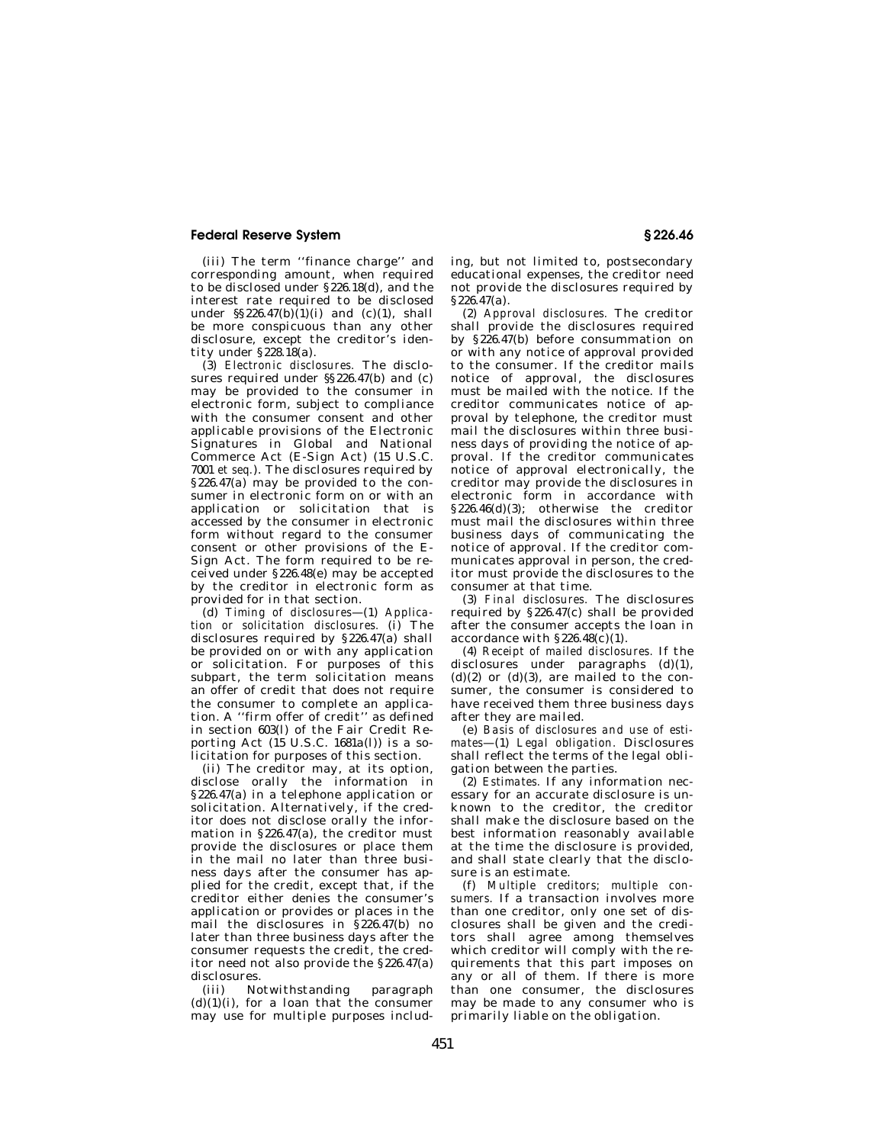# **Federal Reserve System § 226.46**

(iii) The term ''finance charge'' and corresponding amount, when required to be disclosed under §226.18(d), and the interest rate required to be disclosed under  $\S$ §226.47(b)(1)(i) and (c)(1), shall be more conspicuous than any other disclosure, except the creditor's identity under §228.18(a).

(3) *Electronic disclosures.* The disclosures required under §§226.47(b) and (c) may be provided to the consumer in electronic form, subject to compliance with the consumer consent and other applicable provisions of the Electronic Signatures in Global and National Commerce Act (E-Sign Act) (15 U.S.C. 7001 *et seq.*). The disclosures required by §226.47(a) may be provided to the consumer in electronic form on or with an application or solicitation that is accessed by the consumer in electronic form without regard to the consumer consent or other provisions of the E-Sign Act. The form required to be received under §226.48(e) may be accepted by the creditor in electronic form as provided for in that section.

(d) *Timing of disclosures*—(1) *Application or solicitation disclosures.* (i) The disclosures required by §226.47(a) shall be provided on or with any application or solicitation. For purposes of this subpart, the term solicitation means an offer of credit that does not require the consumer to complete an application. A ''firm offer of credit'' as defined in section 603(l) of the Fair Credit Reporting Act  $(15 \text{ U.S.C. } 1681a(l))$  is a solicitation for purposes of this section.

(ii) The creditor may, at its option, disclose orally the information in §226.47(a) in a telephone application or solicitation. Alternatively, if the creditor does not disclose orally the information in §226.47(a), the creditor must provide the disclosures or place them in the mail no later than three business days after the consumer has applied for the credit, except that, if the creditor either denies the consumer's application or provides or places in the mail the disclosures in §226.47(b) no later than three business days after the consumer requests the credit, the creditor need not also provide the §226.47(a) disclosures.

(iii) Notwithstanding paragraph  $(d)(1)(i)$ , for a loan that the consumer may use for multiple purposes including, but not limited to, postsecondary educational expenses, the creditor need not provide the disclosures required by  $§226.47(a)$ .

(2) *Approval disclosures.* The creditor shall provide the disclosures required by §226.47(b) before consummation on or with any notice of approval provided to the consumer. If the creditor mails notice of approval, the disclosures must be mailed with the notice. If the creditor communicates notice of approval by telephone, the creditor must mail the disclosures within three business days of providing the notice of approval. If the creditor communicates notice of approval electronically, the creditor may provide the disclosures in electronic form in accordance with §226.46(d)(3); otherwise the creditor must mail the disclosures within three business days of communicating the notice of approval. If the creditor communicates approval in person, the creditor must provide the disclosures to the consumer at that time.

(3) *Final disclosures.* The disclosures required by §226.47(c) shall be provided after the consumer accepts the loan in accordance with  $\S 226.48(c)(1)$ .

(4) *Receipt of mailed disclosures.* If the disclosures under paragraphs (d)(1),  $(d)(2)$  or  $(d)(3)$ , are mailed to the consumer, the consumer is considered to have received them three business days after they are mailed.

(e) *Basis of disclosures and use of estimates*—(1) *Legal obligation.* Disclosures shall reflect the terms of the legal obligation between the parties.

(2) *Estimates.* If any information necessary for an accurate disclosure is unknown to the creditor, the creditor shall make the disclosure based on the best information reasonably available at the time the disclosure is provided, and shall state clearly that the disclosure is an estimate.

(f) *Multiple creditors; multiple consumers.* If a transaction involves more than one creditor, only one set of disclosures shall be given and the creditors shall agree among themselves which creditor will comply with the requirements that this part imposes on any or all of them. If there is more than one consumer, the disclosures may be made to any consumer who is primarily liable on the obligation.